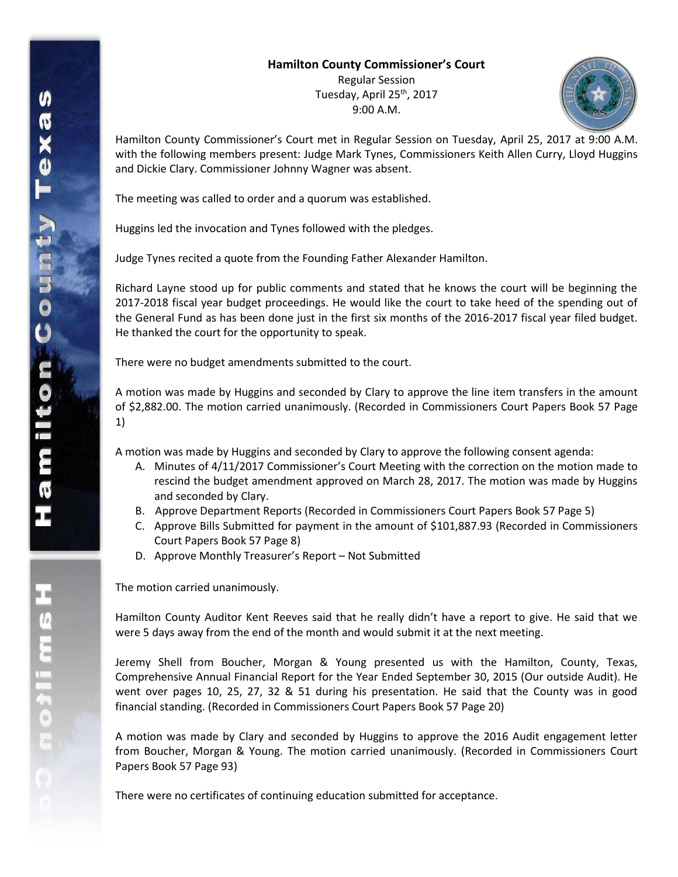## **Hamilton County Commissioner's Court**

Regular Session Tuesday, April 25<sup>th</sup>, 2017 9:00 A.M.



Hamilton County Commissioner's Court met in Regular Session on Tuesday, April 25, 2017 at 9:00 A.M. with the following members present: Judge Mark Tynes, Commissioners Keith Allen Curry, Lloyd Huggins and Dickie Clary. Commissioner Johnny Wagner was absent.

The meeting was called to order and a quorum was established.

Huggins led the invocation and Tynes followed with the pledges.

Judge Tynes recited a quote from the Founding Father Alexander Hamilton.

Richard Layne stood up for public comments and stated that he knows the court will be beginning the 2017-2018 fiscal year budget proceedings. He would like the court to take heed of the spending out of the General Fund as has been done just in the first six months of the 2016-2017 fiscal year filed budget. He thanked the court for the opportunity to speak.

There were no budget amendments submitted to the court.

A motion was made by Huggins and seconded by Clary to approve the line item transfers in the amount of \$2,882.00. The motion carried unanimously. (Recorded in Commissioners Court Papers Book 57 Page 1)

A motion was made by Huggins and seconded by Clary to approve the following consent agenda:

- A. Minutes of 4/11/2017 Commissioner's Court Meeting with the correction on the motion made to rescind the budget amendment approved on March 28, 2017. The motion was made by Huggins and seconded by Clary.
- B. Approve Department Reports (Recorded in Commissioners Court Papers Book 57 Page 5)
- C. Approve Bills Submitted for payment in the amount of \$101,887.93 (Recorded in Commissioners Court Papers Book 57 Page 8)
- D. Approve Monthly Treasurer's Report Not Submitted

The motion carried unanimously.

Hamilton County Auditor Kent Reeves said that he really didn't have a report to give. He said that we were 5 days away from the end of the month and would submit it at the next meeting.

Jeremy Shell from Boucher, Morgan & Young presented us with the Hamilton, County, Texas, Comprehensive Annual Financial Report for the Year Ended September 30, 2015 (Our outside Audit). He went over pages 10, 25, 27, 32 & 51 during his presentation. He said that the County was in good financial standing. (Recorded in Commissioners Court Papers Book 57 Page 20)

A motion was made by Clary and seconded by Huggins to approve the 2016 Audit engagement letter from Boucher, Morgan & Young. The motion carried unanimously. (Recorded in Commissioners Court Papers Book 57 Page 93)

There were no certificates of continuing education submitted for acceptance.